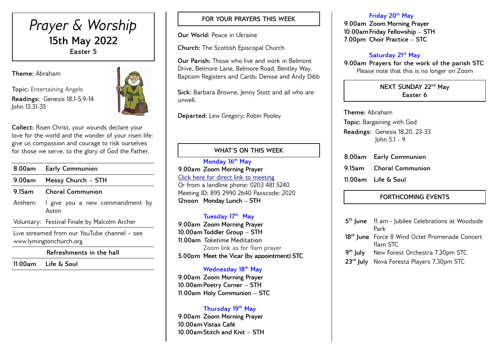# *Prayer & Worship* **15th May 2022 Easter 5**

**Theme:** Abraham

**Topic:** Entertaining Angels **Readings:** Genesis 18.1-5,9-14 John 13.31-35



**Collect:** Risen Christ, your wounds declare your love for the world and the wonder of your risen life: give us compassion and courage to risk ourselves for those we serve, to the glory of God the Father.

| 8.00am                                                                  | <b>Early Communion</b>                       |  |  |  |
|-------------------------------------------------------------------------|----------------------------------------------|--|--|--|
| 9.00am                                                                  | Messy Church - STH                           |  |  |  |
| $9.15$ am                                                               | <b>Choral Communion</b>                      |  |  |  |
| Anthem:                                                                 | I give you a new commandment by<br>Aston     |  |  |  |
|                                                                         | Voluntary: Festival Finale by Malcolm Archer |  |  |  |
| Live streamed from our YouTube channel – see<br>www.lymingtonchurch.org |                                              |  |  |  |

**Refreshments in the hall**

**11.00am Life & Soul** 

## **FOR YOUR PRAYERS THIS WEEK**

**Our World:** Peace in Ukraine

**Church:** The Scottish Episcopal Church

**Our Parish:** Those who live and work in Belmont Drive, Belmore Lane, Belmore Road, Bentley Way. Baptism Registers and Cards: Denise and Andy Dibb

**Sick:** Barbara Browne, Jenny Stott and all who are unwell.

**Departed:** Lew Gregory; Robin Pooley

## **WHAT'S ON THIS WEEK**

**Monday 16th May 9.00am Zoom Morning Prayer** [Click here for direct link to meeting](https://us02web.zoom.us/j/89529902640?pwd=QVQxTGxjODdwV3ROT1gxM2NWUjN0dz09) Or from a landline phone: 0203 481 5240 Meeting ID: 895 2990 2640 Passcode: 2020 **12noon Monday Lunch – STH** 

## **Tuesday 17 th May**

**9.00am Zoom Morning Prayer 10.00amToddler Group – STH 11.00am** *Taketime* **Meditation**  Zoom link as for 9am prayer **5.00pm Meet the Vicar (by appointment) STC**

## **Wednesday 18th May**

**9.00am Zoom Morning Prayer 10.00amPoetry Corner – STH 11.00am Holy Communion – STC** 

#### **Thursday 19th May**

**9.00am Zoom Morning Prayer 10.00amVistas Café 10.00amStitch and Knit – STH** 

#### **Friday 20th May**

**9.00am Zoom Morning Prayer 10.00amFriday Fellowship – STH 7.00pm Choir Practice – STC** 

## **Saturday 21st May**

**9.00am Prayers for the work of the parish STC** Please note that this is no longer on Zoom

#### **NEXT SUNDAY 22nd May Easter 6**

**Theme:** Abraham **Topic:** Bargaining with God **Readings:** Genesis 18.20, 23-33 John 5.1 - 9

**8.00am Early Communion 9.15am Choral Communion 11.00am Life & Soul**

# **FORTHCOMING EVENTS**

| 5 <sup>th</sup> June 11 am - Jubilee Celebrations at Woodside |  |  |
|---------------------------------------------------------------|--|--|
| Park                                                          |  |  |
| 18 <sup>th</sup> June Force 8 Wind Octet Promenade Concert    |  |  |
| 11am STC                                                      |  |  |
| 9 <sup>th</sup> July New Forest Orchestra 7.30pm STC          |  |  |
| 23rd July Nova Foresta Players 7.30pm STC                     |  |  |